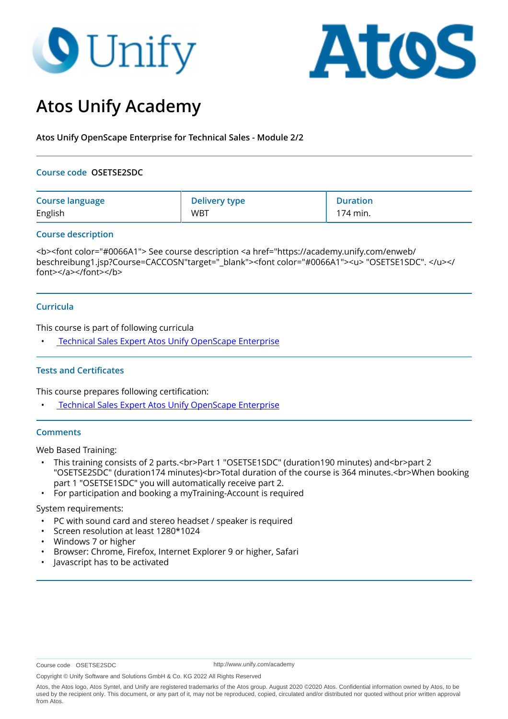# **O** Unify



## **Atos Unify Academy**

**Atos Unify OpenScape Enterprise for Technical Sales - Module 2/2**

#### **Course code OSETSE2SDC**

| <b>Course language</b> | <b>Delivery type</b> | <b>Duration</b> |
|------------------------|----------------------|-----------------|
| English                | <b>WBT</b>           | 174 min.        |

#### **Course description**

<b><font color="#0066A1"> See course description <a href="https://academy.unify.com/enweb/ beschreibung1.jsp?Course=CACCOSN"target="\_blank"><font color="#0066A1"><u> "OSETSE1SDC".</u></ font></a></font></b>

#### **Curricula**

This course is part of following curricula

• [Technical Sales Expert Atos Unify OpenScape Enterprise](
https://academy.unify.com/enweb/beschreibung1.jsp?Chain=BAAADWB
)

#### **Tests and Certificates**

This course prepares following certification:

**Technical Sales Expert Atos Unify OpenScape Enterprise** 

#### **Comments**

Web Based Training:

- This training consists of 2 parts.<br>Part 1 "OSETSE1SDC" (duration190 minutes) and<br>part 2 "OSETSE2SDC" (duration174 minutes)<br>Total duration of the course is 364 minutes.<br>When booking part 1 "OSETSE1SDC" you will automatically receive part 2.
- For participation and booking a myTraining-Account is required

#### System requirements:

- PC with sound card and stereo headset / speaker is required
- Screen resolution at least 1280\*1024
- Windows 7 or higher
- Browser: Chrome, Firefox, Internet Explorer 9 or higher, Safari
- Javascript has to be activated

http://www.unify.com/academy

Copyright © Unify Software and Solutions GmbH & Co. KG 2022 All Rights Reserved

Atos, the Atos logo, Atos Syntel, and Unify are registered trademarks of the Atos group. August 2020 ©2020 Atos. Confidential information owned by Atos, to be used by the recipient only. This document, or any part of it, may not be reproduced, copied, circulated and/or distributed nor quoted without prior written approval from Atos.